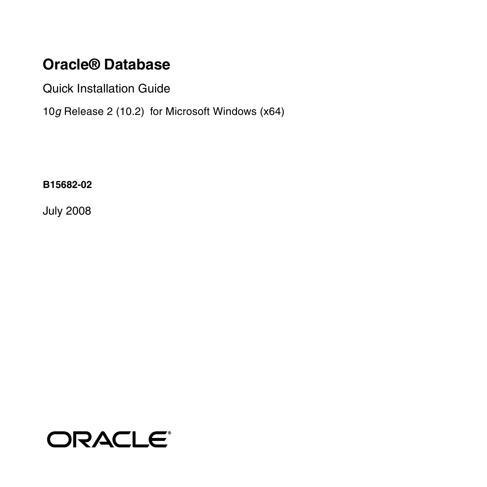## **Oracle® Database**

Quick Installation Guide

10*g* Release 2 (10.2) for Microsoft Windows (x64)

**B15682-02**

July 2008

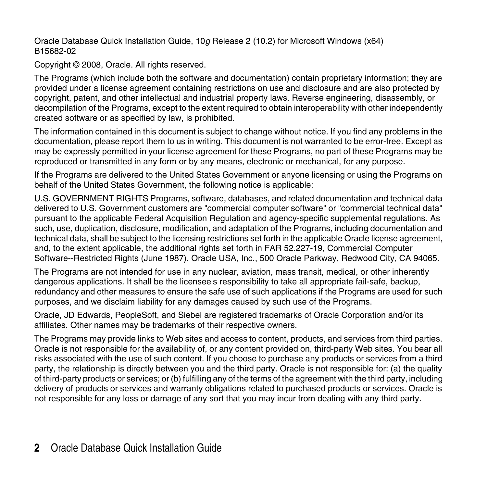Oracle Database Quick Installation Guide, 10*g* Release 2 (10.2) for Microsoft Windows (x64) B15682-02

Copyright © 2008, Oracle. All rights reserved.

The Programs (which include both the software and documentation) contain proprietary information; they are provided under a license agreement containing restrictions on use and disclosure and are also protected by copyright, patent, and other intellectual and industrial property laws. Reverse engineering, disassembly, or decompilation of the Programs, except to the extent required to obtain interoperability with other independently created software or as specified by law, is prohibited.

The information contained in this document is subject to change without notice. If you find any problems in the documentation, please report them to us in writing. This document is not warranted to be error-free. Except as may be expressly permitted in your license agreement for these Programs, no part of these Programs may be reproduced or transmitted in any form or by any means, electronic or mechanical, for any purpose.

If the Programs are delivered to the United States Government or anyone licensing or using the Programs on behalf of the United States Government, the following notice is applicable:

U.S. GOVERNMENT RIGHTS Programs, software, databases, and related documentation and technical data delivered to U.S. Government customers are "commercial computer software" or "commercial technical data" pursuant to the applicable Federal Acquisition Regulation and agency-specific supplemental regulations. As such, use, duplication, disclosure, modification, and adaptation of the Programs, including documentation and technical data, shall be subject to the licensing restrictions set forth in the applicable Oracle license agreement, and, to the extent applicable, the additional rights set forth in FAR 52.227-19, Commercial Computer Software--Restricted Rights (June 1987). Oracle USA, Inc., 500 Oracle Parkway, Redwood City, CA 94065.

The Programs are not intended for use in any nuclear, aviation, mass transit, medical, or other inherently dangerous applications. It shall be the licensee's responsibility to take all appropriate fail-safe, backup, redundancy and other measures to ensure the safe use of such applications if the Programs are used for such purposes, and we disclaim liability for any damages caused by such use of the Programs.

Oracle, JD Edwards, PeopleSoft, and Siebel are registered trademarks of Oracle Corporation and/or its affiliates. Other names may be trademarks of their respective owners.

The Programs may provide links to Web sites and access to content, products, and services from third parties. Oracle is not responsible for the availability of, or any content provided on, third-party Web sites. You bear all risks associated with the use of such content. If you choose to purchase any products or services from a third party, the relationship is directly between you and the third party. Oracle is not responsible for: (a) the quality of third-party products or services; or (b) fulfilling any of the terms of the agreement with the third party, including delivery of products or services and warranty obligations related to purchased products or services. Oracle is not responsible for any loss or damage of any sort that you may incur from dealing with any third party.

#### **2** Oracle Database Quick Installation Guide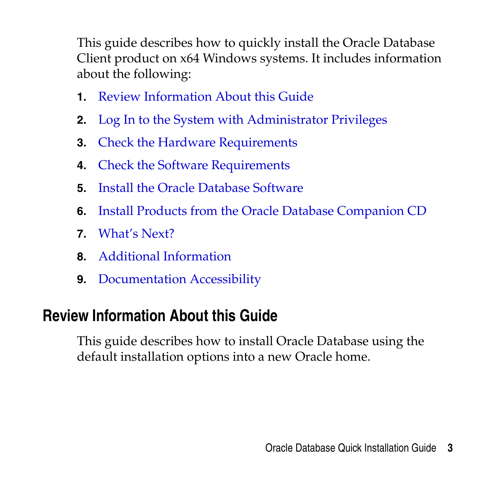This guide describes how to quickly install the Oracle Database Client product on x64 Windows systems. It includes information about the following:

- **1.** [Review Information About this Guide](#page-2-0)
- **2.** [Log In to the System with Administrator Privileges](#page-6-0)
- **3.** [Check the Hardware Requirements](#page-6-1)
- **4.** [Check the Software Requirements](#page-10-0)
- **5.** [Install the Oracle Database Software](#page-15-0)
- **6.** [Install Products from the Oracle Database Companion CD](#page-26-0)
- **7.** [What's Next?](#page-27-0)
- **8.** [Additional Information](#page-28-0)
- **9.** [Documentation Accessibility](#page-31-0)

# <span id="page-2-0"></span>**Review Information About this Guide**

This guide describes how to install Oracle Database using the default installation options into a new Oracle home.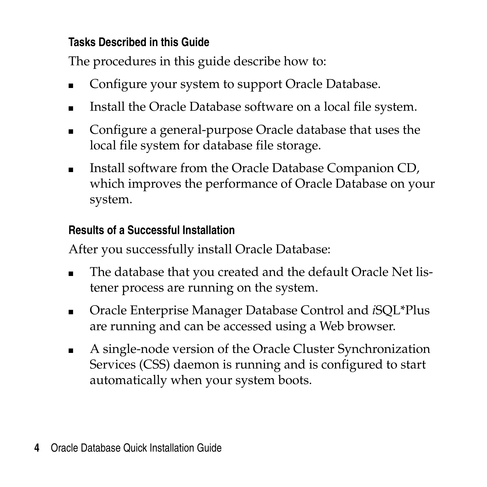### **Tasks Described in this Guide**

The procedures in this guide describe how to:

- Configure your system to support Oracle Database.
- Install the Oracle Database software on a local file system.
- Configure a general-purpose Oracle database that uses the local file system for database file storage.
- Install software from the Oracle Database Companion CD, which improves the performance of Oracle Database on your system.

### **Results of a Successful Installation**

After you successfully install Oracle Database:

- The database that you created and the default Oracle Net listener process are running on the system.
- Oracle Enterprise Manager Database Control and *iSQL*\*Plus are running and can be accessed using a Web browser.
- A single-node version of the Oracle Cluster Synchronization Services (CSS) daemon is running and is configured to start automatically when your system boots.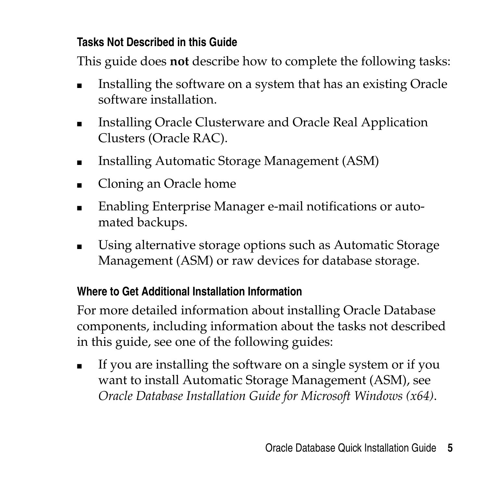### **Tasks Not Described in this Guide**

This guide does **not** describe how to complete the following tasks:

- Installing the software on a system that has an existing Oracle software installation.
- Installing Oracle Clusterware and Oracle Real Application Clusters (Oracle RAC).
- Installing Automatic Storage Management (ASM)
- Cloning an Oracle home
- Enabling Enterprise Manager e-mail notifications or automated backups.
- Using alternative storage options such as Automatic Storage Management (ASM) or raw devices for database storage.

## **Where to Get Additional Installation Information**

For more detailed information about installing Oracle Database components, including information about the tasks not described in this guide, see one of the following guides:

■ If you are installing the software on a single system or if you want to install Automatic Storage Management (ASM), see *Oracle Database Installation Guide for Microsoft Windows (x64)*.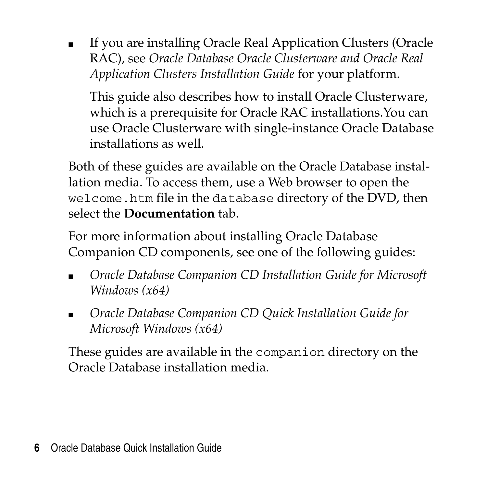■ If you are installing Oracle Real Application Clusters (Oracle RAC), see *Oracle Database Oracle Clusterware and Oracle Real Application Clusters Installation Guide* for your platform.

This guide also describes how to install Oracle Clusterware, which is a prerequisite for Oracle RAC installations.You can use Oracle Clusterware with single-instance Oracle Database installations as well.

Both of these guides are available on the Oracle Database installation media. To access them, use a Web browser to open the welcome.htm file in the database directory of the DVD, then select the **Documentation** tab.

For more information about installing Oracle Database Companion CD components, see one of the following guides:

- *Oracle Database Companion CD Installation Guide for Microsoft Windows (x64)*
- *Oracle Database Companion CD Ouick Installation Guide for Microsoft Windows (x64)*

These guides are available in the companion directory on the Oracle Database installation media.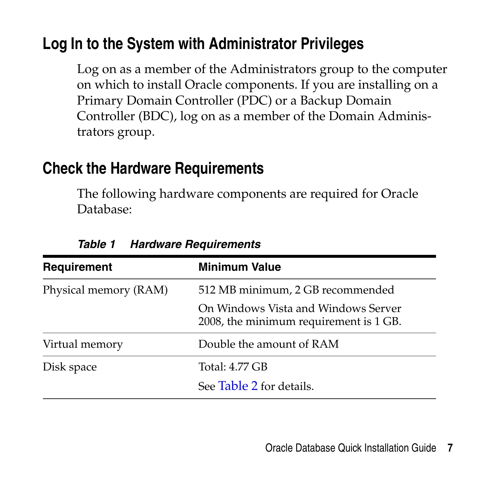# <span id="page-6-0"></span>**Log In to the System with Administrator Privileges**

Log on as a member of the Administrators group to the computer on which to install Oracle components. If you are installing on a Primary Domain Controller (PDC) or a Backup Domain Controller (BDC), log on as a member of the Domain Administrators group.

## <span id="page-6-1"></span>**Check the Hardware Requirements**

The following hardware components are required for Oracle Database:

| Requirement           | <b>Minimum Value</b>                                                          |
|-----------------------|-------------------------------------------------------------------------------|
| Physical memory (RAM) | 512 MB minimum, 2 GB recommended                                              |
|                       | On Windows Vista and Windows Server<br>2008, the minimum requirement is 1 GB. |
| Virtual memory        | Double the amount of RAM                                                      |
| Disk space            | Total: 4.77 GB                                                                |
|                       | See Table 2 for details.                                                      |

*Table 1 Hardware Requirements*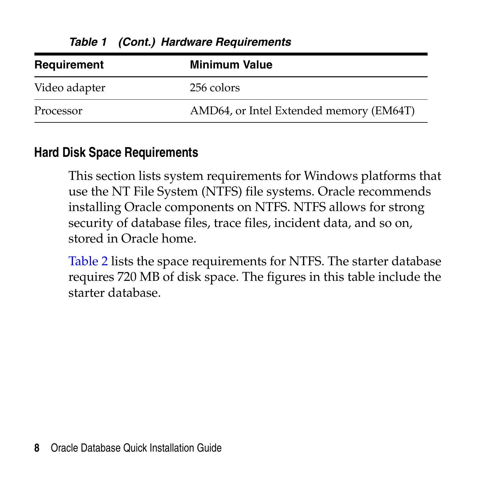| Requirement   | <b>Minimum Value</b>                    |
|---------------|-----------------------------------------|
| Video adapter | 256 colors                              |
| Processor     | AMD64, or Intel Extended memory (EM64T) |

*Table 1 (Cont.) Hardware Requirements*

#### **Hard Disk Space Requirements**

This section lists system requirements for Windows platforms that use the NT File System (NTFS) file systems. Oracle recommends installing Oracle components on NTFS. NTFS allows for strong security of database files, trace files, incident data, and so on, stored in Oracle home.

Table 2 lists the space requirements for NTFS. The starter database requires 720 MB of disk space. The figures in this table include the starter database.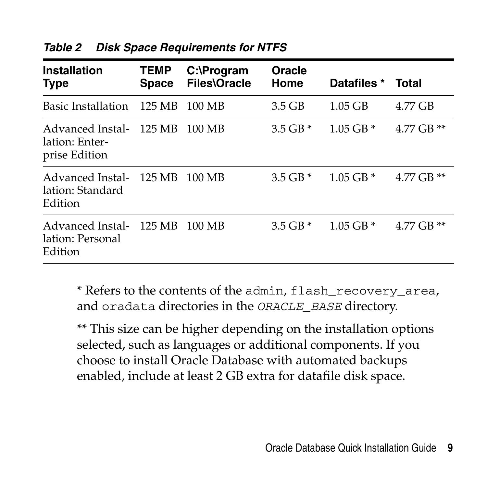| Installation<br><b>Type</b>                         | <b>TEMP</b><br><b>Space</b> | C:\Program<br><b>Files\Oracle</b> | Oracle<br>Home | Datafiles *   | Total        |
|-----------------------------------------------------|-----------------------------|-----------------------------------|----------------|---------------|--------------|
| Basic Installation                                  | 125 MB                      | 100 MB                            | $3.5$ GB       | $1.05$ GB     | 4.77 GB      |
| Advanced Instal-<br>lation: Enter-<br>prise Edition | 125 MB                      | 100 MB                            | $3.5$ GB $*$   | $1.05$ GB $*$ | 4.77 GB $**$ |
| Advanced Instal-<br>lation: Standard<br>Edition     | 125 MB                      | 100 MB                            | $3.5$ GB $*$   | $1.05$ GB $*$ | 4.77 GB $**$ |
| Advanced Instal-<br>lation: Personal<br>Edition     | 125 MB                      | 100 MB                            | $3.5$ GB $*$   | $1.05$ GB $*$ | 4.77 GB $**$ |

*Table 2 Disk Space Requirements for NTFS*

\* Refers to the contents of the admin, flash\_recovery\_area, and oradata directories in the *ORACLE\_BASE* directory.

\*\* This size can be higher depending on the installation options selected, such as languages or additional components. If you choose to install Oracle Database with automated backups enabled, include at least 2 GB extra for datafile disk space.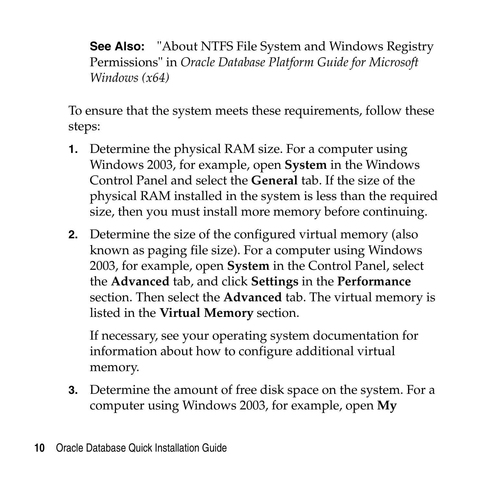**See Also:** "About NTFS File System and Windows Registry Permissions" in *Oracle Database Platform Guide for Microsoft Windows (x64)*

To ensure that the system meets these requirements, follow these steps:

- **1.** Determine the physical RAM size. For a computer using Windows 2003, for example, open **System** in the Windows Control Panel and select the **General** tab. If the size of the physical RAM installed in the system is less than the required size, then you must install more memory before continuing.
- **2.** Determine the size of the configured virtual memory (also known as paging file size). For a computer using Windows 2003, for example, open **System** in the Control Panel, select the **Advanced** tab, and click **Settings** in the **Performance** section. Then select the **Advanced** tab. The virtual memory is listed in the **Virtual Memory** section.

If necessary, see your operating system documentation for information about how to configure additional virtual memory.

**3.** Determine the amount of free disk space on the system. For a computer using Windows 2003, for example, open **My**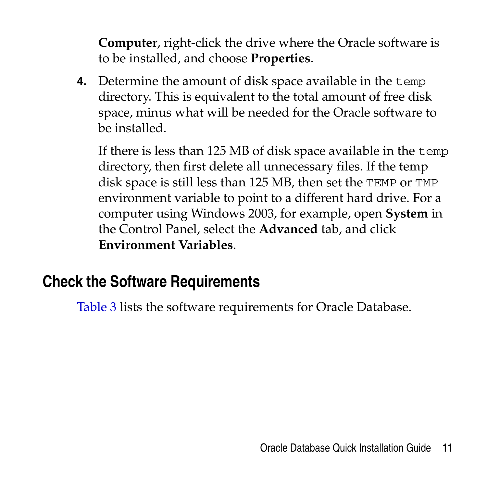**Computer**, right-click the drive where the Oracle software is to be installed, and choose **Properties**.

**4.** Determine the amount of disk space available in the temp directory. This is equivalent to the total amount of free disk space, minus what will be needed for the Oracle software to be installed.

If there is less than 125 MB of disk space available in the temp directory, then first delete all unnecessary files. If the temp disk space is still less than 125 MB, then set the TEMP or TMP environment variable to point to a different hard drive. For a computer using Windows 2003, for example, open **System** in the Control Panel, select the **Advanced** tab, and click **Environment Variables**.

# <span id="page-10-0"></span>**Check the Software Requirements**

Table 3 lists the software requirements for Oracle Database.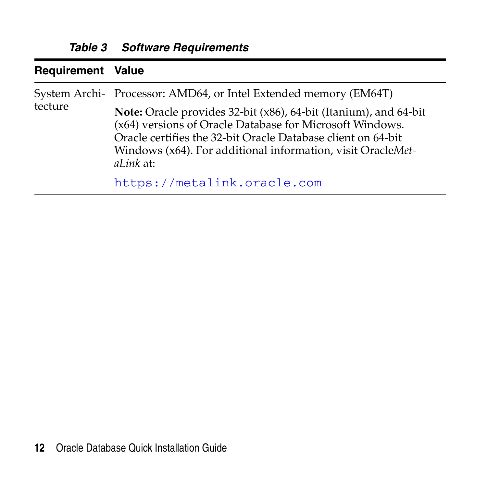| <b>Requirement Value</b> |                                                                                                                                                                                                                                                                                 |
|--------------------------|---------------------------------------------------------------------------------------------------------------------------------------------------------------------------------------------------------------------------------------------------------------------------------|
| tecture                  | System Archi- Processor: AMD64, or Intel Extended memory (EM64T)                                                                                                                                                                                                                |
|                          | <b>Note:</b> Oracle provides 32-bit (x86), 64-bit (Itanium), and 64-bit<br>(x64) versions of Oracle Database for Microsoft Windows.<br>Oracle certifies the 32-bit Oracle Database client on 64-bit<br>Windows (x64). For additional information, visit OracleMet-<br>aLink at: |
|                          | https://metalink.oracle.com                                                                                                                                                                                                                                                     |

*Table 3 Software Requirements*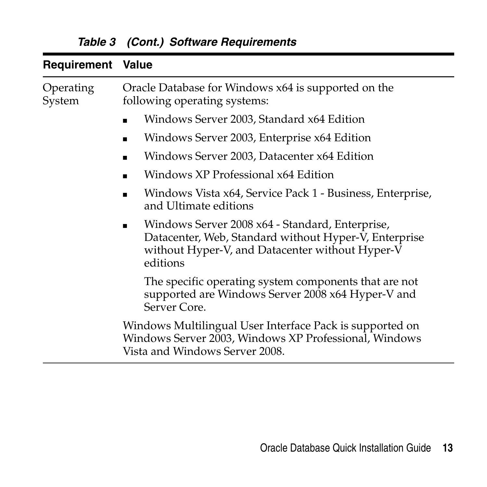| <b>Requirement Value</b> |                                                                                                                                                                         |
|--------------------------|-------------------------------------------------------------------------------------------------------------------------------------------------------------------------|
| Operating<br>System      | Oracle Database for Windows x64 is supported on the<br>following operating systems:                                                                                     |
|                          | Windows Server 2003, Standard x64 Edition                                                                                                                               |
|                          | Windows Server 2003, Enterprise x64 Edition                                                                                                                             |
|                          | Windows Server 2003, Datacenter x64 Edition                                                                                                                             |
|                          | Windows XP Professional x64 Edition                                                                                                                                     |
|                          | Windows Vista x64, Service Pack 1 - Business, Enterprise,<br>and Ultimate editions                                                                                      |
|                          | Windows Server 2008 x64 - Standard, Enterprise,<br>Datacenter, Web, Standard without Hyper-V, Enterprise<br>without Hyper-V, and Datacenter without Hyper-V<br>editions |
|                          | The specific operating system components that are not<br>supported are Windows Server 2008 x64 Hyper-V and<br>Server Core.                                              |
|                          | Windows Multilingual User Interface Pack is supported on<br>Windows Server 2003, Windows XP Professional, Windows<br>Vista and Windows Server 2008.                     |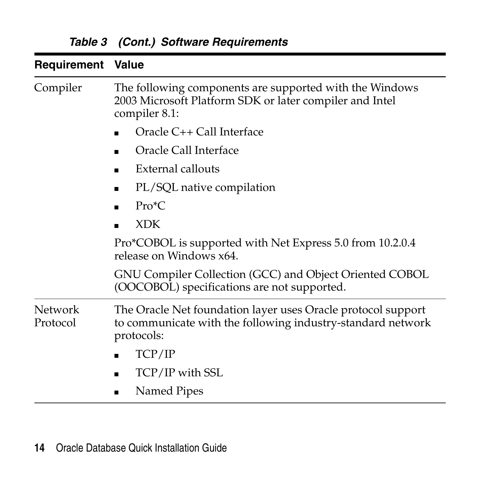| <b>Requirement Value</b> |                                                                                                                                           |
|--------------------------|-------------------------------------------------------------------------------------------------------------------------------------------|
| Compiler                 | The following components are supported with the Windows<br>2003 Microsoft Platform SDK or later compiler and Intel<br>compiler 8.1:       |
|                          | Oracle C++ Call Interface                                                                                                                 |
|                          | Oracle Call Interface                                                                                                                     |
|                          | External callouts                                                                                                                         |
|                          | PL/SQL native compilation<br>٠                                                                                                            |
|                          | $Pro*C$                                                                                                                                   |
|                          | <b>XDK</b>                                                                                                                                |
|                          | Pro*COBOL is supported with Net Express 5.0 from 10.2.0.4<br>release on Windows x64.                                                      |
|                          | GNU Compiler Collection (GCC) and Object Oriented COBOL<br>(OOCOBOL) specifications are not supported.                                    |
| Network<br>Protocol      | The Oracle Net foundation layer uses Oracle protocol support<br>to communicate with the following industry-standard network<br>protocols: |
|                          | TCP/IP                                                                                                                                    |
|                          | TCP/IP with SSL                                                                                                                           |
|                          | Named Pipes                                                                                                                               |

*Table 3 (Cont.) Software Requirements*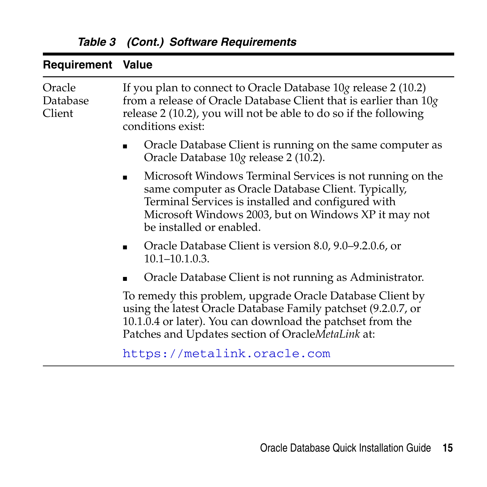| <b>Requirement Value</b>     |                                                                                                                                                                                                                                                            |
|------------------------------|------------------------------------------------------------------------------------------------------------------------------------------------------------------------------------------------------------------------------------------------------------|
| Oracle<br>Database<br>Client | If you plan to connect to Oracle Database 10g release 2 (10.2)<br>from a release of Oracle Database Client that is earlier than $10g$<br>release 2 (10.2), you will not be able to do so if the following<br>conditions exist:                             |
|                              | Oracle Database Client is running on the same computer as<br>Oracle Database 10g release 2 (10.2).                                                                                                                                                         |
|                              | Microsoft Windows Terminal Services is not running on the<br>same computer as Oracle Database Client. Typically,<br>Terminal Services is installed and configured with<br>Microsoft Windows 2003, but on Windows XP it may not<br>be installed or enabled. |
|                              | Oracle Database Client is version 8.0, 9.0–9.2.0.6, or<br>$10.1 - 10.1.0.3$ .                                                                                                                                                                              |
|                              | Oracle Database Client is not running as Administrator.                                                                                                                                                                                                    |
|                              | To remedy this problem, upgrade Oracle Database Client by<br>using the latest Oracle Database Family patchset (9.2.0.7, or<br>10.1.0.4 or later). You can download the patchset from the<br>Patches and Updates section of OracleMetaLink at:              |
|                              | https://metalink.oracle.com                                                                                                                                                                                                                                |
|                              |                                                                                                                                                                                                                                                            |

*Table 3 (Cont.) Software Requirements*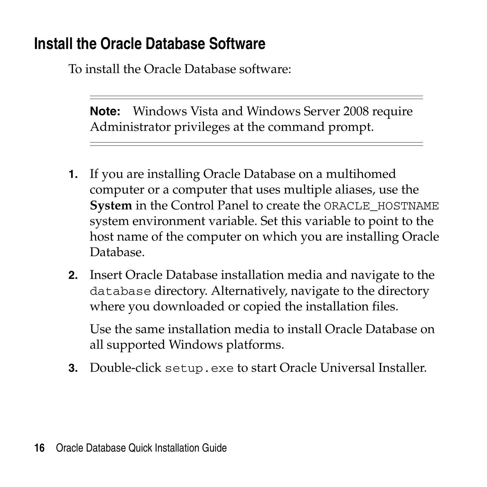# <span id="page-15-0"></span>**Install the Oracle Database Software**

To install the Oracle Database software:

**Note:** Windows Vista and Windows Server 2008 require Administrator privileges at the command prompt.

- **1.** If you are installing Oracle Database on a multihomed computer or a computer that uses multiple aliases, use the **System** in the Control Panel to create the ORACLE\_HOSTNAME system environment variable. Set this variable to point to the host name of the computer on which you are installing Oracle Database.
- **2.** Insert Oracle Database installation media and navigate to the database directory. Alternatively, navigate to the directory where you downloaded or copied the installation files.

Use the same installation media to install Oracle Database on all supported Windows platforms.

**3.** Double-click setup.exe to start Oracle Universal Installer.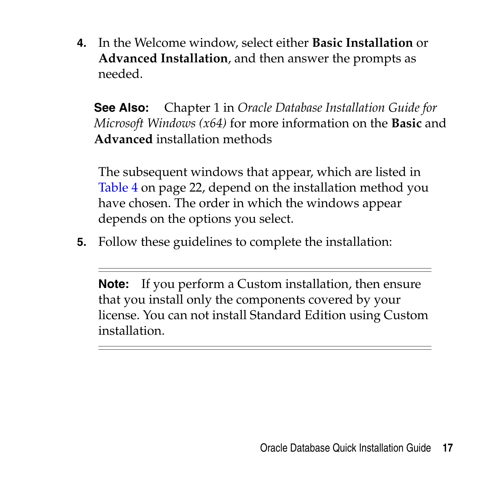**4.** In the Welcome window, select either **Basic Installation** or **Advanced Installation**, and then answer the prompts as needed.

**See Also:** Chapter 1 in *Oracle Database Installation Guide for Microsoft Windows (x64)* for more information on the **Basic** and **Advanced** installation methods

The subsequent windows that appear, which are listed in Table 4 on page 22, depend on the installation method you have chosen. The order in which the windows appear depends on the options you select.

**5.** Follow these guidelines to complete the installation:

**Note:** If you perform a Custom installation, then ensure that you install only the components covered by your license. You can not install Standard Edition using Custom installation.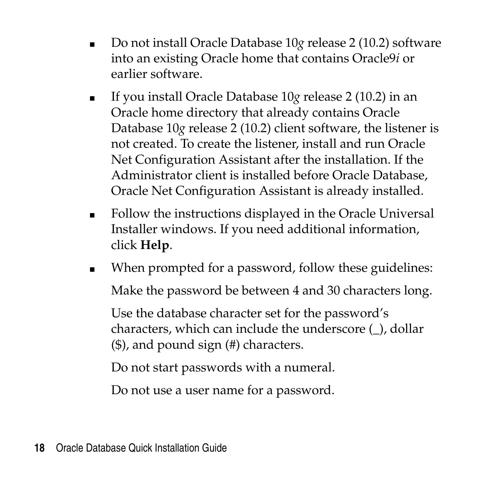- Do not install Oracle Database 10*g* release 2 (10.2) software into an existing Oracle home that contains Oracle9*i* or earlier software.
- If you install Oracle Database 10*g* release 2 (10.2) in an Oracle home directory that already contains Oracle Database 10*g* release 2 (10.2) client software, the listener is not created. To create the listener, install and run Oracle Net Configuration Assistant after the installation. If the Administrator client is installed before Oracle Database, Oracle Net Configuration Assistant is already installed.
- Follow the instructions displayed in the Oracle Universal Installer windows. If you need additional information, click **Help**.
- When prompted for a password, follow these guidelines: Make the password be between 4 and 30 characters long.

Use the database character set for the password's characters, which can include the underscore (\_), dollar (\$), and pound sign (#) characters.

Do not start passwords with a numeral.

Do not use a user name for a password.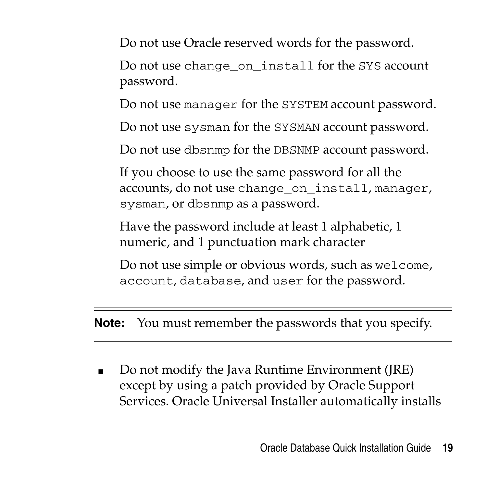Do not use Oracle reserved words for the password.

Do not use change on install for the SYS account password.

Do not use manager for the SYSTEM account password.

Do not use sysman for the SYSMAN account password.

Do not use dbsnmp for the DBSNMP account password.

If you choose to use the same password for all the accounts, do not use change\_on\_install, manager, sysman, or dbsnmp as a password.

Have the password include at least 1 alphabetic, 1 numeric, and 1 punctuation mark character

Do not use simple or obvious words, such as welcome, account, database, and user for the password.

**Note:** You must remember the passwords that you specify.

Do not modify the Java Runtime Environment (JRE) except by using a patch provided by Oracle Support Services. Oracle Universal Installer automatically installs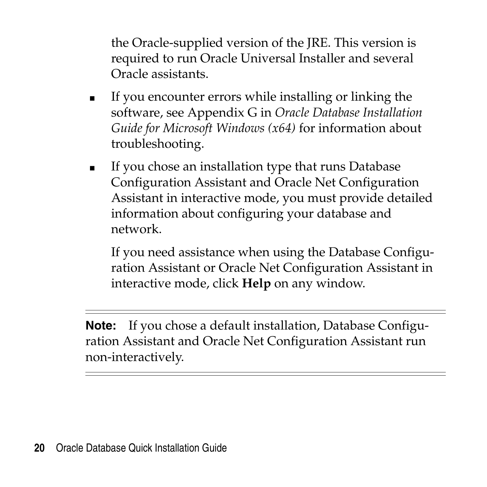the Oracle-supplied version of the JRE. This version is required to run Oracle Universal Installer and several Oracle assistants.

- If you encounter errors while installing or linking the software, see Appendix G in *Oracle Database Installation Guide for Microsoft Windows (x64)* for information about troubleshooting.
- If you chose an installation type that runs Database Configuration Assistant and Oracle Net Configuration Assistant in interactive mode, you must provide detailed information about configuring your database and network.

If you need assistance when using the Database Configuration Assistant or Oracle Net Configuration Assistant in interactive mode, click **Help** on any window.

**Note:** If you chose a default installation, Database Configuration Assistant and Oracle Net Configuration Assistant run non-interactively.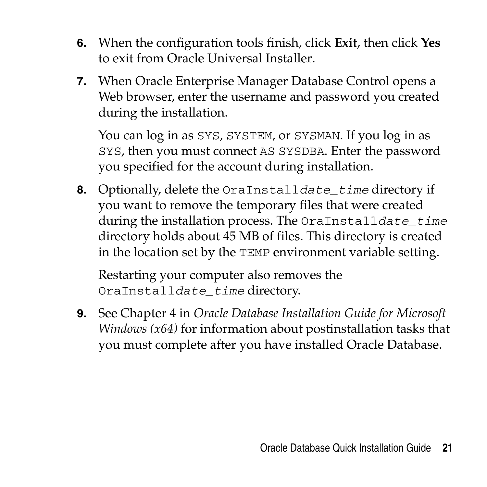- **6.** When the configuration tools finish, click **Exit**, then click **Yes** to exit from Oracle Universal Installer.
- **7.** When Oracle Enterprise Manager Database Control opens a Web browser, enter the username and password you created during the installation.

You can log in as SYS, SYSTEM, or SYSMAN. If you log in as SYS, then you must connect AS SYSDBA. Enter the password you specified for the account during installation.

**8.** Optionally, delete the OraInstall*date\_time* directory if you want to remove the temporary files that were created during the installation process. The OraInstall*date\_time* directory holds about 45 MB of files. This directory is created in the location set by the TEMP environment variable setting.

Restarting your computer also removes the OraInstall*date\_time* directory.

**9.** See Chapter 4 in *Oracle Database Installation Guide for Microsoft Windows (x64)* for information about postinstallation tasks that you must complete after you have installed Oracle Database.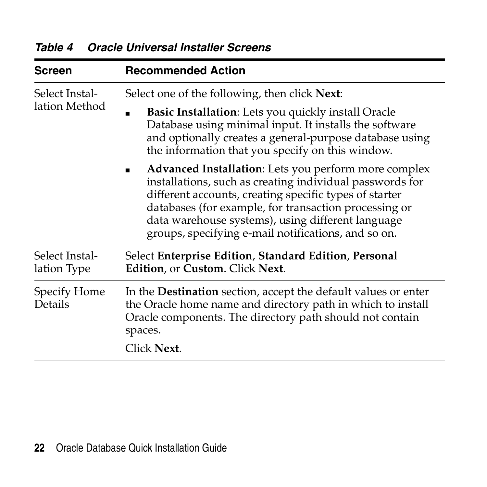| Screen                          | <b>Recommended Action</b><br>Select one of the following, then click Next:                                                                                                                                                                                                                                                                             |  |  |
|---------------------------------|--------------------------------------------------------------------------------------------------------------------------------------------------------------------------------------------------------------------------------------------------------------------------------------------------------------------------------------------------------|--|--|
| Select Instal-<br>lation Method |                                                                                                                                                                                                                                                                                                                                                        |  |  |
|                                 | <b>Basic Installation:</b> Lets you quickly install Oracle<br>٠<br>Database using minimal input. It installs the software<br>and optionally creates a general-purpose database using<br>the information that you specify on this window.                                                                                                               |  |  |
|                                 | <b>Advanced Installation:</b> Lets you perform more complex<br>installations, such as creating individual passwords for<br>different accounts, creating specific types of starter<br>databases (for example, for transaction processing or<br>data warehouse systems), using different language<br>groups, specifying e-mail notifications, and so on. |  |  |
| Select Instal-<br>lation Type   | Select Enterprise Edition, Standard Edition, Personal<br>Edition, or Custom. Click Next.                                                                                                                                                                                                                                                               |  |  |
| Specify Home<br>Details         | In the <b>Destination</b> section, accept the default values or enter<br>the Oracle home name and directory path in which to install<br>Oracle components. The directory path should not contain<br>spaces.<br>Click Next.                                                                                                                             |  |  |
|                                 |                                                                                                                                                                                                                                                                                                                                                        |  |  |

*Table 4 Oracle Universal Installer Screens*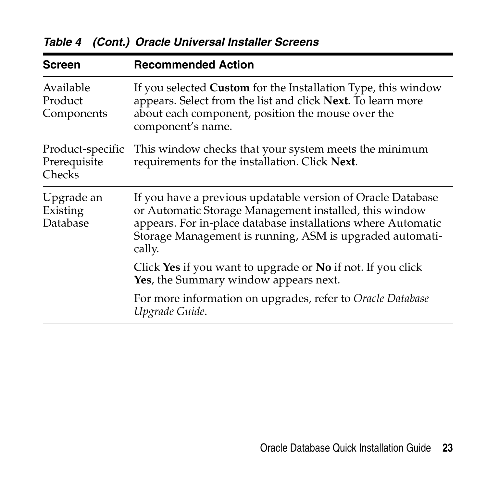| Screen                                     | <b>Recommended Action</b>                                                                                                                                                                                                                                   |
|--------------------------------------------|-------------------------------------------------------------------------------------------------------------------------------------------------------------------------------------------------------------------------------------------------------------|
| Available<br>Product<br>Components         | If you selected <b>Custom</b> for the Installation Type, this window<br>appears. Select from the list and click Next. To learn more<br>about each component, position the mouse over the<br>component's name.                                               |
| Product-specific<br>Prerequisite<br>Checks | This window checks that your system meets the minimum<br>requirements for the installation. Click Next.                                                                                                                                                     |
| Upgrade an<br>Existing<br>Database         | If you have a previous updatable version of Oracle Database<br>or Automatic Storage Management installed, this window<br>appears. For in-place database installations where Automatic<br>Storage Management is running, ASM is upgraded automati-<br>cally. |
|                                            | Click Yes if you want to upgrade or No if not. If you click<br>Yes, the Summary window appears next.                                                                                                                                                        |
|                                            | For more information on upgrades, refer to Oracle Database<br>Upgrade Guide.                                                                                                                                                                                |

*Table 4 (Cont.) Oracle Universal Installer Screens*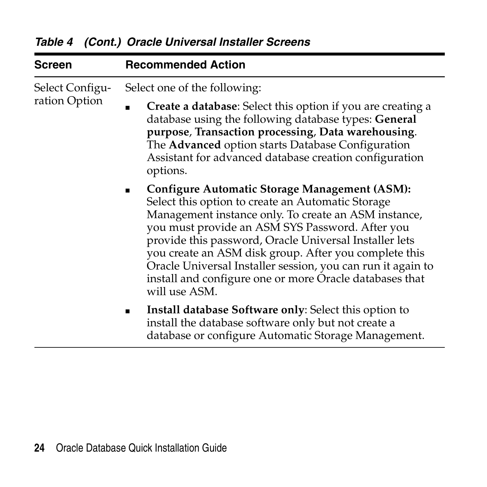| Screen                           | <b>Recommended Action</b>                                                                                                                                                                                                                                                                                                                                                                                                                                                   |  |  |
|----------------------------------|-----------------------------------------------------------------------------------------------------------------------------------------------------------------------------------------------------------------------------------------------------------------------------------------------------------------------------------------------------------------------------------------------------------------------------------------------------------------------------|--|--|
| Select Configu-<br>ration Option | Select one of the following:                                                                                                                                                                                                                                                                                                                                                                                                                                                |  |  |
|                                  | <b>Create a database:</b> Select this option if you are creating a<br>database using the following database types: General<br>purpose, Transaction processing, Data warehousing.<br>The Advanced option starts Database Configuration<br>Assistant for advanced database creation configuration<br>options.                                                                                                                                                                 |  |  |
|                                  | Configure Automatic Storage Management (ASM):<br>Select this option to create an Automatic Storage<br>Management instance only. To create an ASM instance,<br>you must provide an ASM SYS Password. After you<br>provide this password, Oracle Universal Installer lets<br>you create an ASM disk group. After you complete this<br>Oracle Universal Installer session, you can run it again to<br>install and configure one or more Oracle databases that<br>will use ASM. |  |  |
|                                  | Install database Software only: Select this option to<br>install the database software only but not create a<br>database or configure Automatic Storage Management.                                                                                                                                                                                                                                                                                                         |  |  |

*Table 4 (Cont.) Oracle Universal Installer Screens*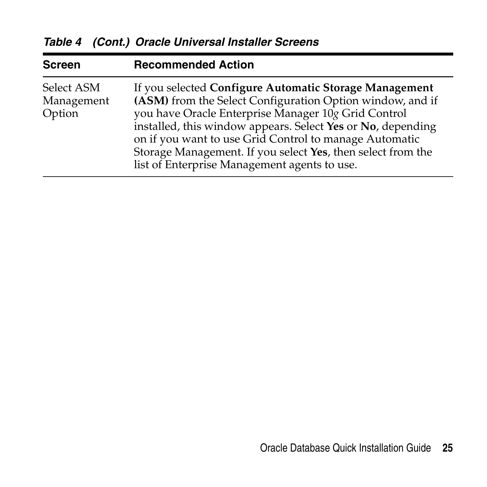| <b>Screen</b>                      | <b>Recommended Action</b>                                                                                                                                                                                                                                                                                                                                                                                          |
|------------------------------------|--------------------------------------------------------------------------------------------------------------------------------------------------------------------------------------------------------------------------------------------------------------------------------------------------------------------------------------------------------------------------------------------------------------------|
| Select ASM<br>Management<br>Option | If you selected Configure Automatic Storage Management<br>(ASM) from the Select Configuration Option window, and if<br>you have Oracle Enterprise Manager 10g Grid Control<br>installed, this window appears. Select Yes or No, depending<br>on if you want to use Grid Control to manage Automatic<br>Storage Management. If you select Yes, then select from the<br>list of Enterprise Management agents to use. |

*Table 4 (Cont.) Oracle Universal Installer Screens*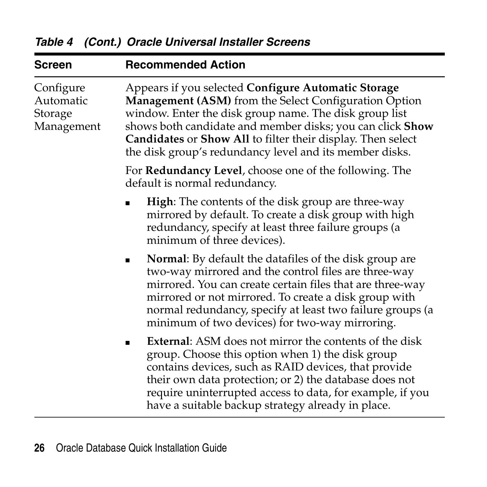| Screen                                          | <b>Recommended Action</b>                                                                                                                                                                                                                                                                                                                                            |  |  |
|-------------------------------------------------|----------------------------------------------------------------------------------------------------------------------------------------------------------------------------------------------------------------------------------------------------------------------------------------------------------------------------------------------------------------------|--|--|
| Configure<br>Automatic<br>Storage<br>Management | Appears if you selected Configure Automatic Storage<br><b>Management (ASM)</b> from the Select Configuration Option<br>window. Enter the disk group name. The disk group list<br>shows both candidate and member disks; you can click Show<br>Candidates or Show All to filter their display. Then select<br>the disk group's redundancy level and its member disks. |  |  |
|                                                 | For <b>Redundancy Level</b> , choose one of the following. The<br>default is normal redundancy.                                                                                                                                                                                                                                                                      |  |  |
|                                                 | <b>High:</b> The contents of the disk group are three-way<br>mirrored by default. To create a disk group with high<br>redundancy, specify at least three failure groups (a<br>minimum of three devices).                                                                                                                                                             |  |  |
|                                                 | <b>Normal:</b> By default the datafiles of the disk group are<br>two-way mirrored and the control files are three-way<br>mirrored. You can create certain files that are three-way<br>mirrored or not mirrored. To create a disk group with<br>normal redundancy, specify at least two failure groups (a<br>minimum of two devices) for two-way mirroring.           |  |  |
|                                                 | <b>External:</b> ASM does not mirror the contents of the disk<br>group. Choose this option when 1) the disk group<br>contains devices, such as RAID devices, that provide<br>their own data protection; or 2) the database does not<br>require uninterrupted access to data, for example, if you<br>have a suitable backup strategy already in place.                |  |  |

*Table 4 (Cont.) Oracle Universal Installer Screens*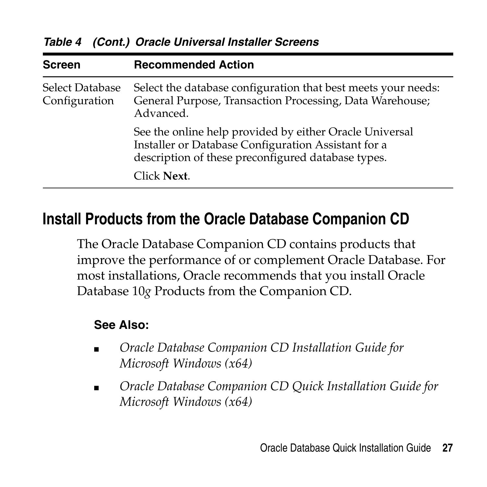| <b>Screen</b>                    | <b>Recommended Action</b>                                                                                                                                            |
|----------------------------------|----------------------------------------------------------------------------------------------------------------------------------------------------------------------|
| Select Database<br>Configuration | Select the database configuration that best meets your needs:<br>General Purpose, Transaction Processing, Data Warehouse;<br>Advanced.                               |
|                                  | See the online help provided by either Oracle Universal<br>Installer or Database Configuration Assistant for a<br>description of these preconfigured database types. |
|                                  | Click Next.                                                                                                                                                          |

*Table 4 (Cont.) Oracle Universal Installer Screens*

## <span id="page-26-0"></span>**Install Products from the Oracle Database Companion CD**

The Oracle Database Companion CD contains products that improve the performance of or complement Oracle Database. For most installations, Oracle recommends that you install Oracle Database 10*g* Products from the Companion CD.

#### **See Also:**

- *Oracle Database Companion CD Installation Guide for Microsoft Windows (x64)*
- *Oracle Database Companion CD Quick Installation Guide for Microsoft Windows (x64)*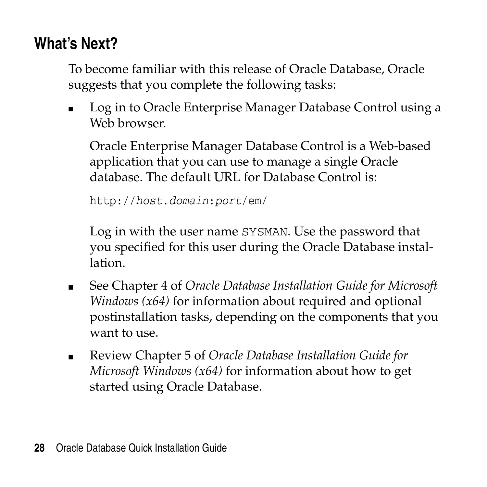# <span id="page-27-0"></span>**What's Next?**

To become familiar with this release of Oracle Database, Oracle suggests that you complete the following tasks:

■ Log in to Oracle Enterprise Manager Database Control using a Web browser

Oracle Enterprise Manager Database Control is a Web-based application that you can use to manage a single Oracle database. The default URL for Database Control is:

http://*host*.*domain*:*port*/em/

Log in with the user name SYSMAN. Use the password that you specified for this user during the Oracle Database installation.

- See Chapter 4 of *Oracle Database Installation Guide for Microsoft Windows (x64)* for information about required and optional postinstallation tasks, depending on the components that you want to use.
- Review Chapter 5 of *Oracle Database Installation Guide for Microsoft Windows (x64)* for information about how to get started using Oracle Database.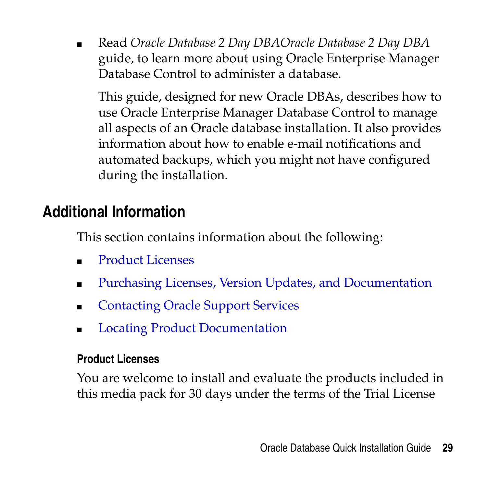■ Read *Oracle Database 2 Day DBAOracle Database 2 Day DBA* guide, to learn more about using Oracle Enterprise Manager Database Control to administer a database.

This guide, designed for new Oracle DBAs, describes how to use Oracle Enterprise Manager Database Control to manage all aspects of an Oracle database installation. It also provides information about how to enable e-mail notifications and automated backups, which you might not have configured during the installation.

# <span id="page-28-0"></span>**Additional Information**

This section contains information about the following:

- Product Licenses
- Purchasing Licenses, Version Updates, and Documentation
- Contacting Oracle Support Services
- Locating Product Documentation

## **Product Licenses**

You are welcome to install and evaluate the products included in this media pack for 30 days under the terms of the Trial License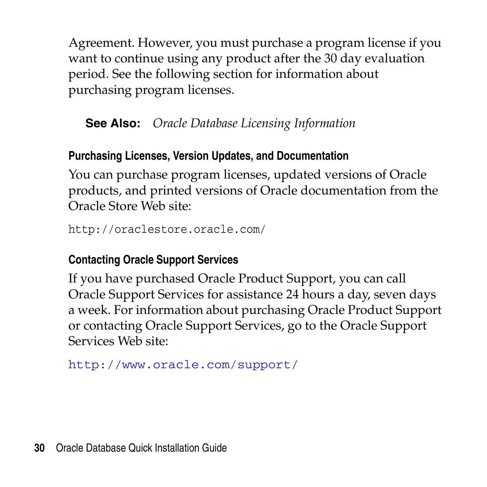Agreement. However, you must purchase a program license if you want to continue using any product after the 30 day evaluation period. See the following section for information about purchasing program licenses.

**See Also:** *Oracle Database Licensing Information*

## **Purchasing Licenses, Version Updates, and Documentation**

You can purchase program licenses, updated versions of Oracle products, and printed versions of Oracle documentation from the Oracle Store Web site:

```
http://oraclestore.oracle.com/
```
## **Contacting Oracle Support Services**

If you have purchased Oracle Product Support, you can call Oracle Support Services for assistance 24 hours a day, seven days a week. For information about purchasing Oracle Product Support or contacting Oracle Support Services, go to the Oracle Support Services Web site:

http://www.oracle.com/support/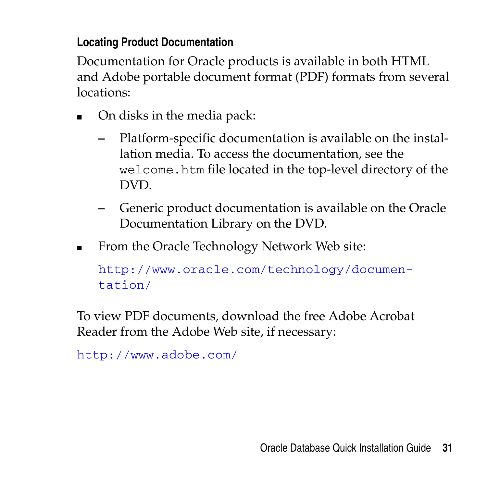## **Locating Product Documentation**

Documentation for Oracle products is available in both HTML and Adobe portable document format (PDF) formats from several locations:

- On disks in the media pack:
	- **–** Platform-specific documentation is available on the installation media. To access the documentation, see the welcome.htm file located in the top-level directory of the DVD.
	- **–** Generic product documentation is available on the Oracle Documentation Library on the DVD.
- From the Oracle Technology Network Web site:

```
http://www.oracle.com/technology/documen-
tation/
```
To view PDF documents, download the free Adobe Acrobat Reader from the Adobe Web site, if necessary:

```
http://www.adobe.com/
```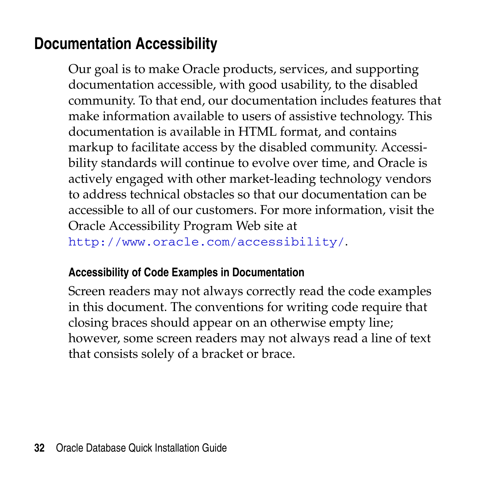# <span id="page-31-0"></span>**Documentation Accessibility**

Our goal is to make Oracle products, services, and supporting documentation accessible, with good usability, to the disabled community. To that end, our documentation includes features that make information available to users of assistive technology. This documentation is available in HTML format, and contains markup to facilitate access by the disabled community. Accessibility standards will continue to evolve over time, and Oracle is actively engaged with other market-leading technology vendors to address technical obstacles so that our documentation can be accessible to all of our customers. For more information, visit the Oracle Accessibility Program Web site at

http://www.oracle.com/accessibility/.

#### **Accessibility of Code Examples in Documentation**

Screen readers may not always correctly read the code examples in this document. The conventions for writing code require that closing braces should appear on an otherwise empty line; however, some screen readers may not always read a line of text that consists solely of a bracket or brace.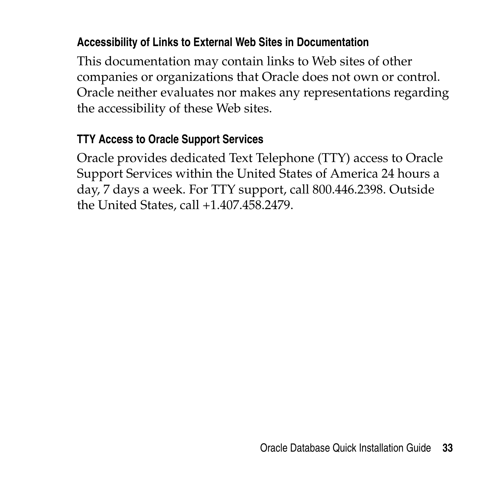### **Accessibility of Links to External Web Sites in Documentation**

This documentation may contain links to Web sites of other companies or organizations that Oracle does not own or control. Oracle neither evaluates nor makes any representations regarding the accessibility of these Web sites.

#### **TTY Access to Oracle Support Services**

Oracle provides dedicated Text Telephone (TTY) access to Oracle Support Services within the United States of America 24 hours a day, 7 days a week. For TTY support, call 800.446.2398. Outside the United States, call +1.407.458.2479.